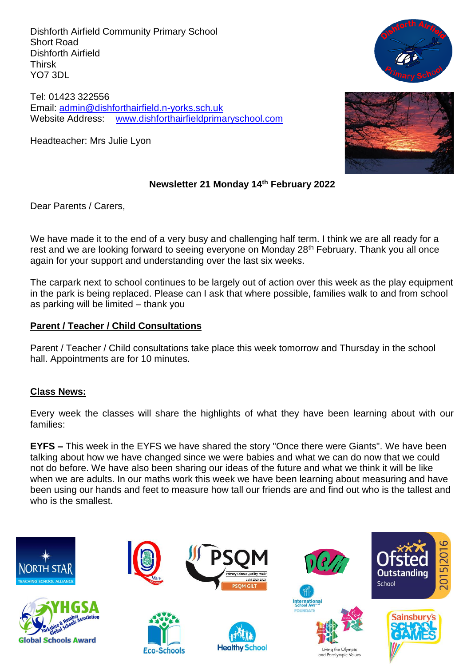Dishforth Airfield Community Primary School Short Road Dishforth Airfield Thirsk YO7 3DL

Tel: 01423 322556 Email: [admin@dishforthairfield.n-yorks.sch.uk](mailto:admin@dishforthairfield.n-yorks.sch.uk) Website Address: [www.dishforthairfieldprimaryschool.com](http://www.dishforthairfieldprimaryschool.com/)

Headteacher: Mrs Julie Lyon



## **Newsletter 21 Monday 14th February 2022**

Dear Parents / Carers,

We have made it to the end of a very busy and challenging half term. I think we are all ready for a rest and we are looking forward to seeing everyone on Monday 28<sup>th</sup> February. Thank you all once again for your support and understanding over the last six weeks.

The carpark next to school continues to be largely out of action over this week as the play equipment in the park is being replaced. Please can I ask that where possible, families walk to and from school as parking will be limited – thank you

### **Parent / Teacher / Child Consultations**

Parent / Teacher / Child consultations take place this week tomorrow and Thursday in the school hall. Appointments are for 10 minutes.

### **Class News:**

Every week the classes will share the highlights of what they have been learning about with our families:

**EYFS –** This week in the EYFS we have shared the story "Once there were Giants". We have been talking about how we have changed since we were babies and what we can do now that we could not do before. We have also been sharing our ideas of the future and what we think it will be like when we are adults. In our maths work this week we have been learning about measuring and have been using our hands and feet to measure how tall our friends are and find out who is the tallest and who is the smallest.

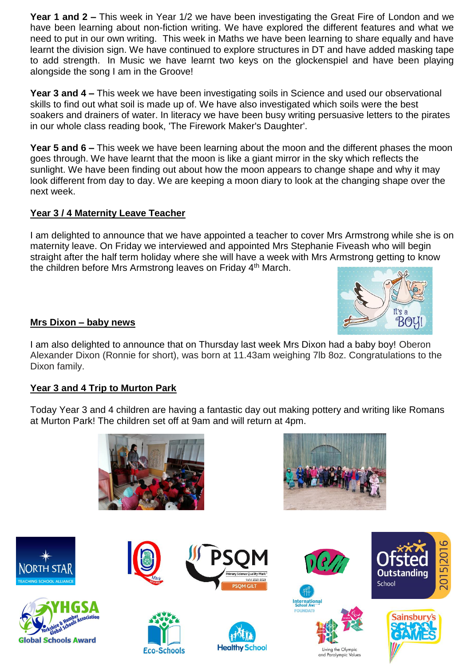**Year 1 and 2 –** This week in Year 1/2 we have been investigating the Great Fire of London and we have been learning about non-fiction writing. We have explored the different features and what we need to put in our own writing. This week in Maths we have been learning to share equally and have learnt the division sign. We have continued to explore structures in DT and have added masking tape to add strength. In Music we have learnt two keys on the glockenspiel and have been playing alongside the song I am in the Groove!

**Year 3 and 4 –** This week we have been investigating soils in Science and used our observational skills to find out what soil is made up of. We have also investigated which soils were the best soakers and drainers of water. In literacy we have been busy writing persuasive letters to the pirates in our whole class reading book, 'The Firework Maker's Daughter'.

**Year 5 and 6 –** This week we have been learning about the moon and the different phases the moon goes through. We have learnt that the moon is like a giant mirror in the sky which reflects the sunlight. We have been finding out about how the moon appears to change shape and why it may look different from day to day. We are keeping a moon diary to look at the changing shape over the next week.

# **Year 3 / 4 Maternity Leave Teacher**

I am delighted to announce that we have appointed a teacher to cover Mrs Armstrong while she is on maternity leave. On Friday we interviewed and appointed Mrs Stephanie Fiveash who will begin straight after the half term holiday where she will have a week with Mrs Armstrong getting to know the children before Mrs Armstrong leaves on Friday 4<sup>th</sup> March.



### **Mrs Dixon – baby news**

I am also delighted to announce that on Thursday last week Mrs Dixon had a baby boy! Oberon Alexander Dixon (Ronnie for short), was born at 11.43am weighing 7lb 8oz. Congratulations to the Dixon family.

### **Year 3 and 4 Trip to Murton Park**

Today Year 3 and 4 children are having a fantastic day out making pottery and writing like Romans at Murton Park! The children set off at 9am and will return at 4pm.

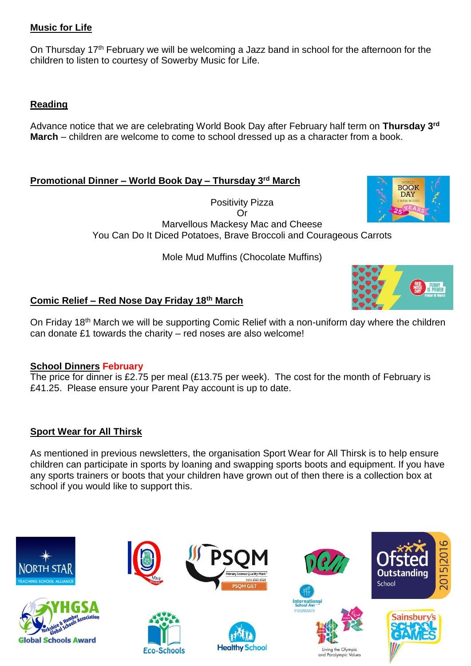# **Music for Life**

On Thursday 17<sup>th</sup> February we will be welcoming a Jazz band in school for the afternoon for the children to listen to courtesy of Sowerby Music for Life.

## **Reading**

Advance notice that we are celebrating World Book Day after February half term on **Thursday 3rd March** – children are welcome to come to school dressed up as a character from a book.

## **Promotional Dinner – World Book Day – Thursday 3rd March**

Positivity Pizza Or Marvellous Mackesy Mac and Cheese You Can Do It Diced Potatoes, Brave Broccoli and Courageous Carrots

Mole Mud Muffins (Chocolate Muffins)

# **Comic Relief – Red Nose Day Friday 18th March**

On Friday 18<sup>th</sup> March we will be supporting Comic Relief with a non-uniform day where the children can donate £1 towards the charity – red noses are also welcome!

### **School Dinners February**

The price for dinner is £2.75 per meal (£13.75 per week). The cost for the month of February is £41.25. Please ensure your Parent Pay account is up to date.

### **Sport Wear for All Thirsk**

As mentioned in previous newsletters, the organisation Sport Wear for All Thirsk is to help ensure children can participate in sports by loaning and swapping sports boots and equipment. If you have any sports trainers or boots that your children have grown out of then there is a collection box at school if you would like to support this.





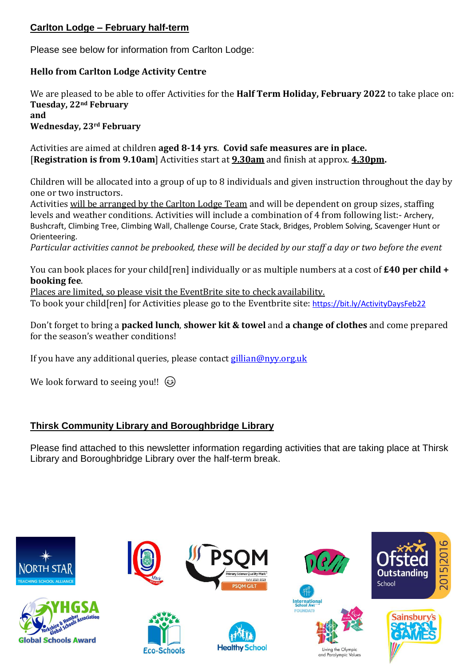# **Carlton Lodge – February half-term**

Please see below for information from Carlton Lodge:

## **Hello from Carlton Lodge Activity Centre**

We are pleased to be able to offer Activities for the **Half Term Holiday, February 2022** to take place on: **Tuesday, 22nd February and Wednesday, 23rd February**

Activities are aimed at children **aged 8-14 yrs**. **Covid safe measures are in place.** [**Registration is from 9.10am**] Activities start at **9.30am** and finish at approx. **4.30pm.**

Children will be allocated into a group of up to 8 individuals and given instruction throughout the day by one or two instructors.

Activities will be arranged by the Carlton Lodge Team and will be dependent on group sizes, staffing levels and weather conditions. Activities will include a combination of 4 from following list:- Archery, Bushcraft, Climbing Tree, Climbing Wall, Challenge Course, Crate Stack, Bridges, Problem Solving, Scavenger Hunt or Orienteering.

Particular activities cannot be prebooked, these will be decided by our staff a day or two before the event

You can book places for your child[ren] individually or as multiple numbers at a cost of **£40 per child + booking fee**.

Places are limited, so please visit the EventBrite site to check availability.

To book your child[ren] for Activities please go to the Eventbrite site: <https://bit.ly/ActivityDaysFeb22>

Don't forget to bring a **packed lunch**, **shower kit & towel** and **a change of clothes** and come prepared for the season's weather conditions!

If you have any additional queries, please contact [gillian@nyy.org.uk](mailto:gillian@nyy.org.uk)

We look forward to seeing you!!  $\circled{e}$ 

# **Thirsk Community Library and Boroughbridge Library**

Please find attached to this newsletter information regarding activities that are taking place at Thirsk Library and Boroughbridge Library over the half-term break.

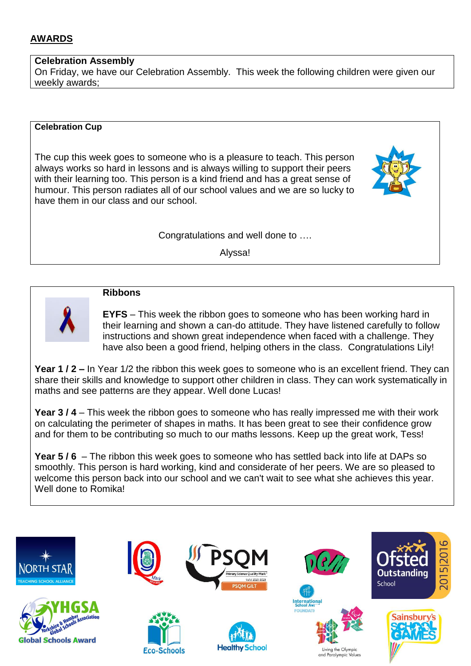## **AWARDS**

#### **Celebration Assembly**

On Friday, we have our Celebration Assembly. This week the following children were given our weekly awards;

#### **Celebration Cup**

The cup this week goes to someone who is a pleasure to teach. This person always works so hard in lessons and is always willing to support their peers with their learning too. This person is a kind friend and has a great sense of humour. This person radiates all of our school values and we are so lucky to have them in our class and our school.

#### Congratulations and well done to ….

Alyssa!



#### **Ribbons**

**EYFS** – This week the ribbon goes to someone who has been working hard in their learning and shown a can-do attitude. They have listened carefully to follow instructions and shown great independence when faced with a challenge. They have also been a good friend, helping others in the class. Congratulations Lily!

**Year 1 / 2 –** In Year 1/2 the ribbon this week goes to someone who is an excellent friend. They can share their skills and knowledge to support other children in class. They can work systematically in maths and see patterns are they appear. Well done Lucas!

**Year 3 / 4** – This week the ribbon goes to someone who has really impressed me with their work on calculating the perimeter of shapes in maths. It has been great to see their confidence grow and for them to be contributing so much to our maths lessons. Keep up the great work, Tess!

**Year 5 / 6** – The ribbon this week goes to someone who has settled back into life at DAPs so smoothly. This person is hard working, kind and considerate of her peers. We are so pleased to welcome this person back into our school and we can't wait to see what she achieves this year. Well done to Romika!

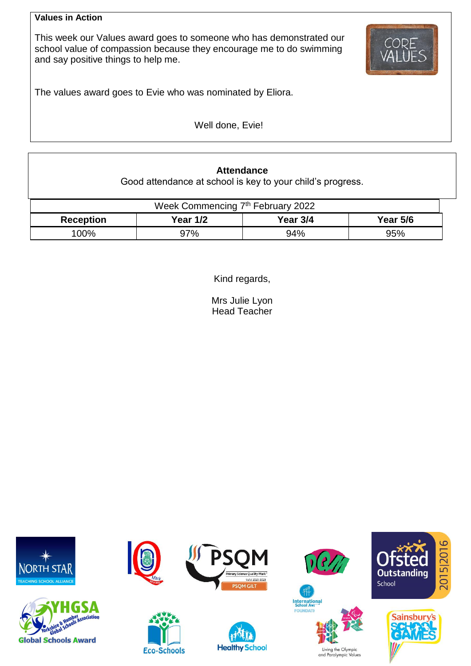#### **Values in Action**

This week our Values award goes to someone who has demonstrated our school value of compassion because they encourage me to do swimming and say positive things to help me.



The values award goes to Evie who was nominated by Eliora.

Well done, Evie!

# **Attendance**

Good attendance at school is key to your child's progress.

| Week Commencing 7 <sup>th</sup> February 2022 |                 |          |                 |  |  |  |
|-----------------------------------------------|-----------------|----------|-----------------|--|--|--|
| <b>Reception</b>                              | <b>Year 1/2</b> | Year 3/4 | <b>Year 5/6</b> |  |  |  |
| 100%                                          | 97%             | 94%      | 95%             |  |  |  |

Kind regards,

Mrs Julie Lyon Head Teacher